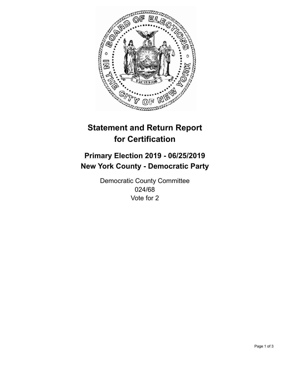

## **Statement and Return Report for Certification**

## **Primary Election 2019 - 06/25/2019 New York County - Democratic Party**

Democratic County Committee 024/68 Vote for 2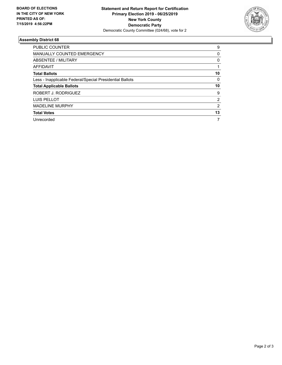

## **Assembly District 68**

| PUBLIC COUNTER                                           | 9  |
|----------------------------------------------------------|----|
| <b>MANUALLY COUNTED EMERGENCY</b>                        | 0  |
| ABSENTEE / MILITARY                                      | 0  |
| <b>AFFIDAVIT</b>                                         |    |
| <b>Total Ballots</b>                                     | 10 |
| Less - Inapplicable Federal/Special Presidential Ballots | 0  |
| <b>Total Applicable Ballots</b>                          | 10 |
| ROBERT J. RODRIGUEZ                                      | 9  |
| LUIS PELLOT                                              | 2  |
| <b>MADELINE MURPHY</b>                                   | 2  |
| <b>Total Votes</b>                                       | 13 |
| Unrecorded                                               | 7  |